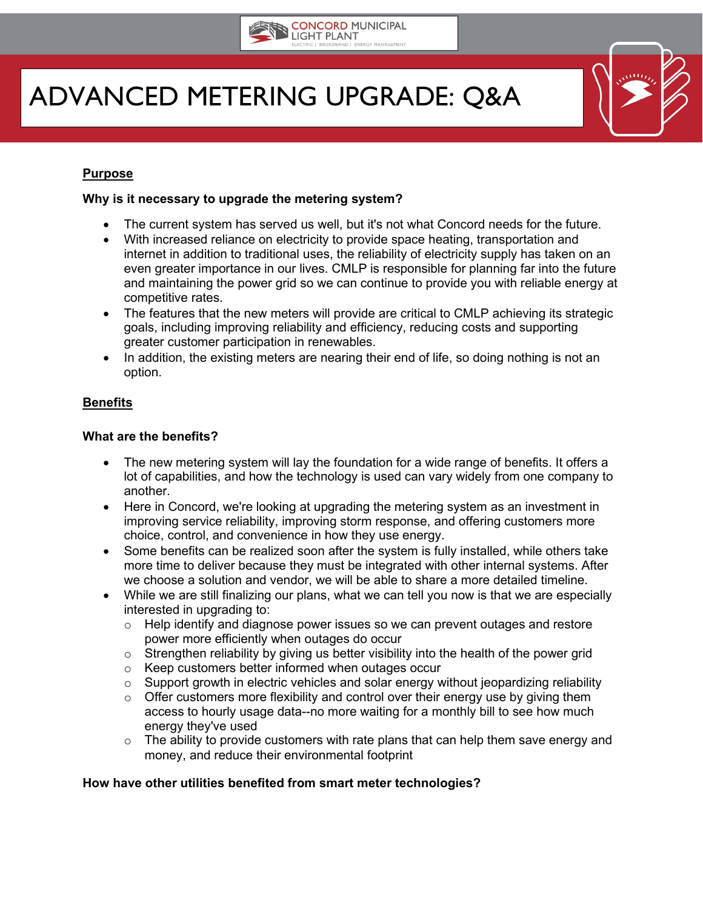

# ADVANCED METERING UPGRADE: Q&A

# **Purpose**

## **Why is it necessary to upgrade the metering system?**

- The current system has served us well, but it's not what Concord needs for the future.
- With increased reliance on electricity to provide space heating, transportation and internet in addition to traditional uses, the reliability of electricity supply has taken on an even greater importance in our lives. CMLP is responsible for planning far into the future and maintaining the power grid so we can continue to provide you with reliable energy at competitive rates.
- The features that the new meters will provide are critical to CMLP achieving its strategic goals, including improving reliability and efficiency, reducing costs and supporting greater customer participation in renewables.
- In addition, the existing meters are nearing their end of life, so doing nothing is not an option.

## **Benefits**

#### **What are the benefits?**

- The new metering system will lay the foundation for a wide range of benefits. It offers a lot of capabilities, and how the technology is used can vary widely from one company to another.
- Here in Concord, we're looking at upgrading the metering system as an investment in improving service reliability, improving storm response, and offering customers more choice, control, and convenience in how they use energy.
- Some benefits can be realized soon after the system is fully installed, while others take more time to deliver because they must be integrated with other internal systems. After we choose a solution and vendor, we will be able to share a more detailed timeline.
- While we are still finalizing our plans, what we can tell you now is that we are especially interested in upgrading to:
	- $\circ$  Help identify and diagnose power issues so we can prevent outages and restore power more efficiently when outages do occur
	- $\circ$  Strengthen reliability by giving us better visibility into the health of the power grid
	- o Keep customers better informed when outages occur
	- o Support growth in electric vehicles and solar energy without jeopardizing reliability
	- $\circ$  Offer customers more flexibility and control over their energy use by giving them access to hourly usage data--no more waiting for a monthly bill to see how much energy they've used
	- $\circ$  The ability to provide customers with rate plans that can help them save energy and money, and reduce their environmental footprint

# **How have other utilities benefited from smart meter technologies?**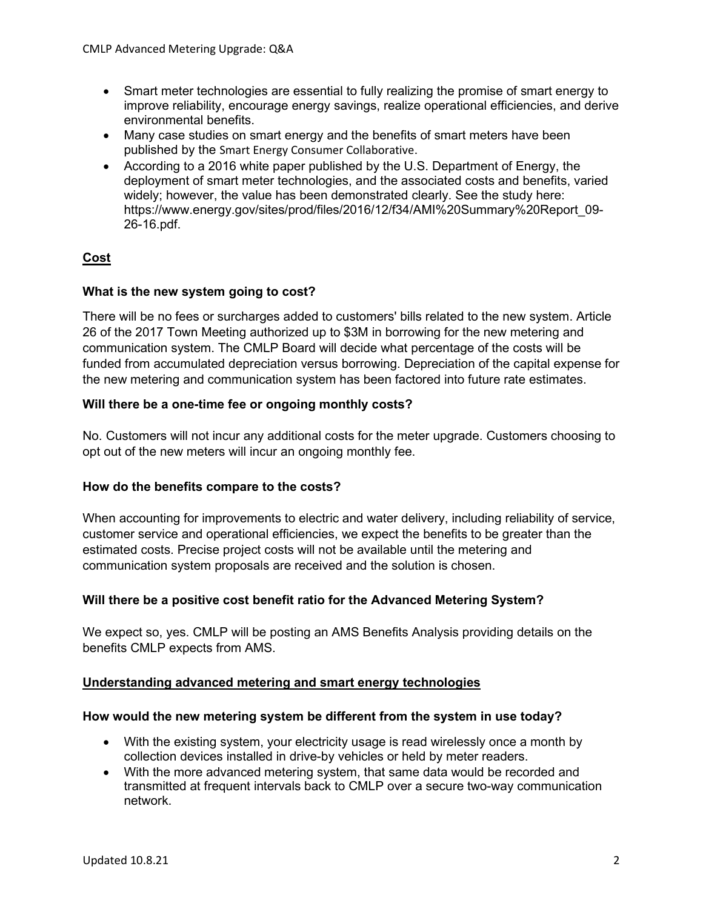- Smart meter technologies are essential to fully realizing the promise of smart energy to improve reliability, encourage energy savings, realize operational efficiencies, and derive environmental benefits.
- Many case studies on smart energy and the benefits of smart meters have been published by the [Smart Energy Consumer Collaborative](https://smartenergycc.org/library/).
- According to a 2016 white paper published by the U.S. Department of Energy, the deployment of smart meter technologies, and the associated costs and benefits, varied widely; however, the value has been demonstrated clearly. See the study here: https://www.energy.gov/sites/prod/files/2016/12/f34/AMI%20Summary%20Report\_09- 26-16.pdf.

# **Cost**

# **What is the new system going to cost?**

There will be no fees or surcharges added to customers' bills related to the new system. Article 26 of the 2017 Town Meeting authorized up to \$3M in borrowing for the new metering and communication system. The CMLP Board will decide what percentage of the costs will be funded from accumulated depreciation versus borrowing. Depreciation of the capital expense for the new metering and communication system has been factored into future rate estimates.

# **Will there be a one-time fee or ongoing monthly costs?**

No. Customers will not incur any additional costs for the meter upgrade. Customers choosing to opt out of the new meters will incur an ongoing monthly fee.

# **How do the benefits compare to the costs?**

When accounting for improvements to electric and water delivery, including reliability of service, customer service and operational efficiencies, we expect the benefits to be greater than the estimated costs. Precise project costs will not be available until the metering and communication system proposals are received and the solution is chosen.

# **Will there be a positive cost benefit ratio for the Advanced Metering System?**

We expect so, yes. CMLP will be posting an AMS Benefits Analysis providing details on the benefits CMLP expects from AMS.

# **Understanding advanced metering and smart energy technologies**

# **How would the new metering system be different from the system in use today?**

- With the existing system, your electricity usage is read wirelessly once a month by collection devices installed in drive-by vehicles or held by meter readers.
- With the more advanced metering system, that same data would be recorded and transmitted at frequent intervals back to CMLP over a secure two-way communication network.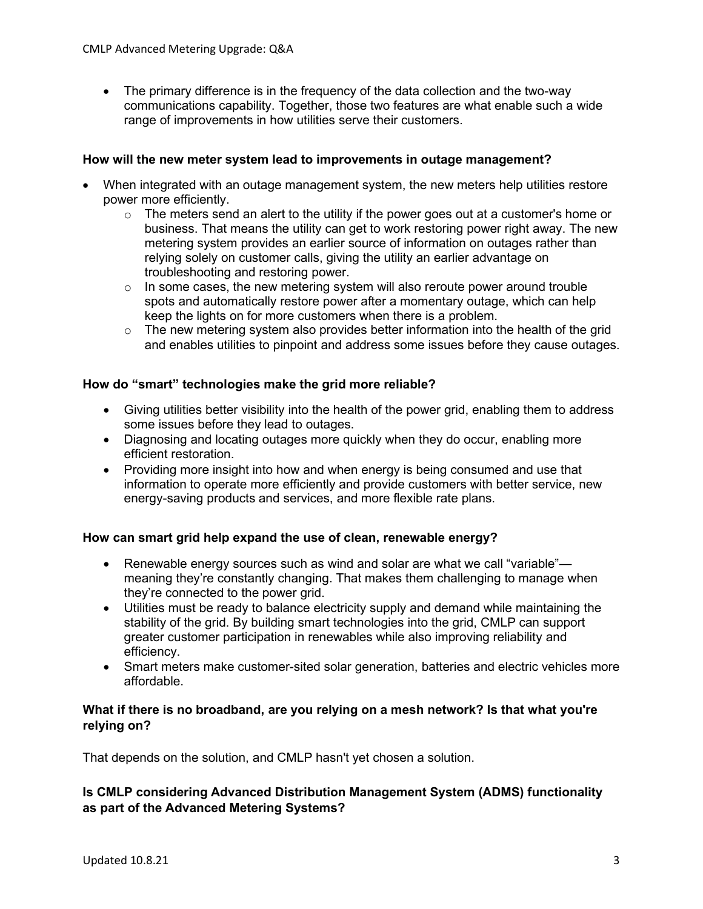• The primary difference is in the frequency of the data collection and the two-way communications capability. Together, those two features are what enable such a wide range of improvements in how utilities serve their customers.

# **How will the new meter system lead to improvements in outage management?**

- When integrated with an outage management system, the new meters help utilities restore power more efficiently.
	- $\circ$  The meters send an alert to the utility if the power goes out at a customer's home or business. That means the utility can get to work restoring power right away. The new metering system provides an earlier source of information on outages rather than relying solely on customer calls, giving the utility an earlier advantage on troubleshooting and restoring power.
	- $\circ$  In some cases, the new metering system will also reroute power around trouble spots and automatically restore power after a momentary outage, which can help keep the lights on for more customers when there is a problem.
	- $\circ$  The new metering system also provides better information into the health of the grid and enables utilities to pinpoint and address some issues before they cause outages.

## **How do "smart" technologies make the grid more reliable?**

- Giving utilities better visibility into the health of the power grid, enabling them to address some issues before they lead to outages.
- Diagnosing and locating outages more quickly when they do occur, enabling more efficient restoration.
- Providing more insight into how and when energy is being consumed and use that information to operate more efficiently and provide customers with better service, new energy-saving products and services, and more flexible rate plans.

# **How can smart grid help expand the use of clean, renewable energy?**

- Renewable energy sources such as wind and solar are what we call "variable"meaning they're constantly changing. That makes them challenging to manage when they're connected to the power grid.
- Utilities must be ready to balance electricity supply and demand while maintaining the stability of the grid. By building smart technologies into the grid, CMLP can support greater customer participation in renewables while also improving reliability and efficiency.
- Smart meters make customer-sited solar generation, batteries and electric vehicles more affordable.

# **What if there is no broadband, are you relying on a mesh network? Is that what you're relying on?**

That depends on the solution, and CMLP hasn't yet chosen a solution.

# **Is CMLP considering Advanced Distribution Management System (ADMS) functionality as part of the Advanced Metering Systems?**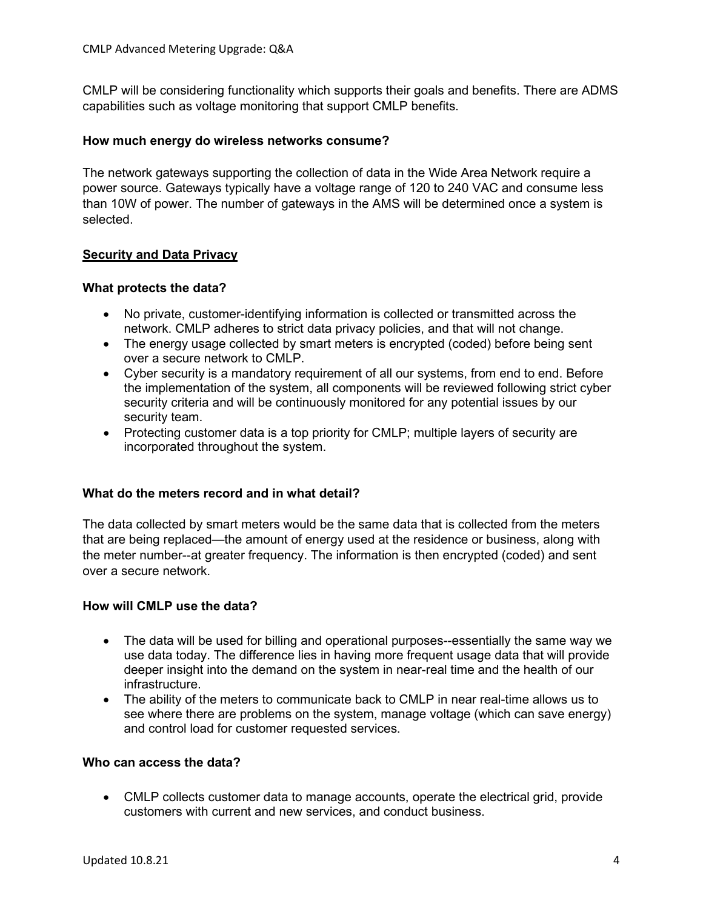CMLP will be considering functionality which supports their goals and benefits. There are ADMS capabilities such as voltage monitoring that support CMLP benefits.

## **How much energy do wireless networks consume?**

The network gateways supporting the collection of data in the Wide Area Network require a power source. Gateways typically have a voltage range of 120 to 240 VAC and consume less than 10W of power. The number of gateways in the AMS will be determined once a system is selected.

# **Security and Data Privacy**

## **What protects the data?**

- No private, customer-identifying information is collected or transmitted across the network. CMLP adheres to strict data privacy policies, and that will not change.
- The energy usage collected by smart meters is encrypted (coded) before being sent over a secure network to CMLP.
- Cyber security is a mandatory requirement of all our systems, from end to end. Before the implementation of the system, all components will be reviewed following strict cyber security criteria and will be continuously monitored for any potential issues by our security team.
- Protecting customer data is a top priority for CMLP; multiple layers of security are incorporated throughout the system.

#### **What do the meters record and in what detail?**

The data collected by smart meters would be the same data that is collected from the meters that are being replaced—the amount of energy used at the residence or business, along with the meter number--at greater frequency. The information is then encrypted (coded) and sent over a secure network.

#### **How will CMLP use the data?**

- The data will be used for billing and operational purposes--essentially the same way we use data today. The difference lies in having more frequent usage data that will provide deeper insight into the demand on the system in near-real time and the health of our infrastructure.
- The ability of the meters to communicate back to CMLP in near real-time allows us to see where there are problems on the system, manage voltage (which can save energy) and control load for customer requested services.

#### **Who can access the data?**

• CMLP collects customer data to manage accounts, operate the electrical grid, provide customers with current and new services, and conduct business.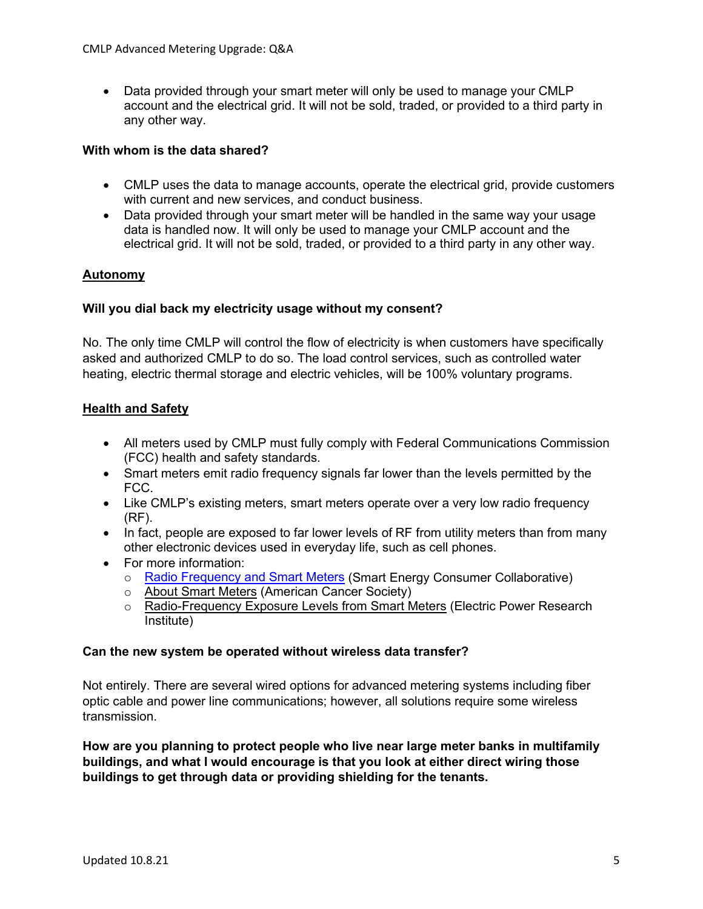• Data provided through your smart meter will only be used to manage your CMLP account and the electrical grid. It will not be sold, traded, or provided to a third party in any other way.

# **With whom is the data shared?**

- CMLP uses the data to manage accounts, operate the electrical grid, provide customers with current and new services, and conduct business.
- Data provided through your smart meter will be handled in the same way your usage data is handled now. It will only be used to manage your CMLP account and the electrical grid. It will not be sold, traded, or provided to a third party in any other way.

# **Autonomy**

# **Will you dial back my electricity usage without my consent?**

No. The only time CMLP will control the flow of electricity is when customers have specifically asked and authorized CMLP to do so. The load control services, such as controlled water heating, electric thermal storage and electric vehicles, will be 100% voluntary programs.

# **Health and Safety**

- All meters used by CMLP must fully comply with Federal Communications Commission (FCC) health and safety standards.
- Smart meters emit radio frequency signals far lower than the levels permitted by the FCC.
- Like CMLP's existing meters, smart meters operate over a very low radio frequency (RF).
- In fact, people are exposed to far lower levels of RF from utility meters than from many other electronic devices used in everyday life, such as cell phones.
- For more information:
	- o [Radio Frequency and Smart Meters](https://www.whatissmartenergy.org/radio-frequency) (Smart Energy Consumer Collaborative)
	- o [About Smart Meters](https://www.cancer.org/cancer/cancer-causes/radiation-exposure/smart-meters.html) (American Cancer Society)
	- o [Radio-Frequency Exposure Levels from Smart Meters](https://www.epri.com/research/products/000000000001022270) (Electric Power Research Institute)

# **Can the new system be operated without wireless data transfer?**

Not entirely. There are several wired options for advanced metering systems including fiber optic cable and power line communications; however, all solutions require some wireless transmission.

**How are you planning to protect people who live near large meter banks in multifamily buildings, and what I would encourage is that you look at either direct wiring those buildings to get through data or providing shielding for the tenants.**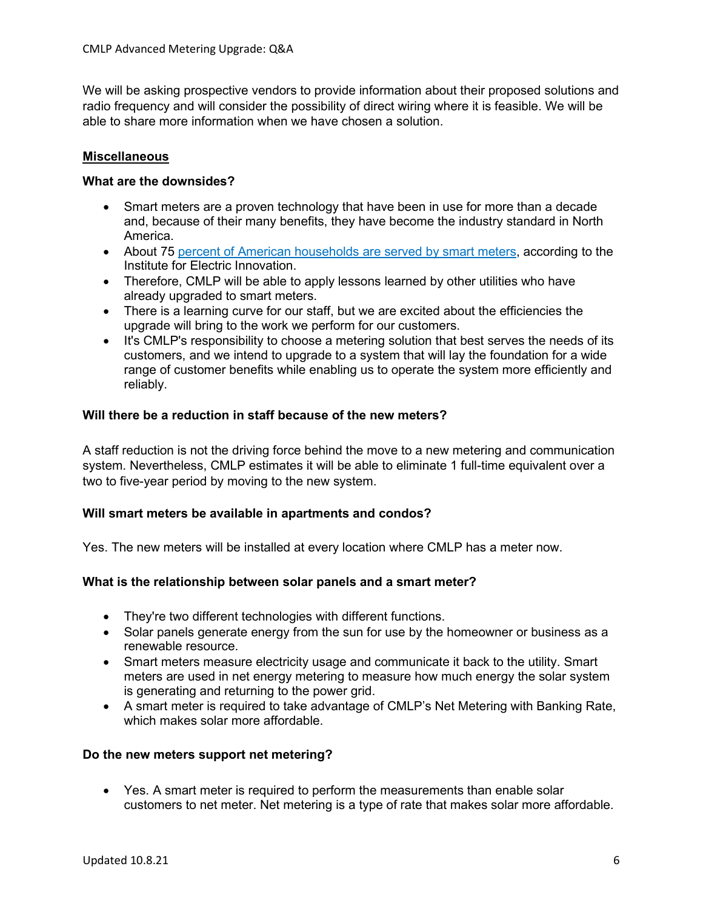We will be asking prospective vendors to provide information about their proposed solutions and radio frequency and will consider the possibility of direct wiring where it is feasible. We will be able to share more information when we have chosen a solution.

# **Miscellaneous**

# **What are the downsides?**

- Smart meters are a proven technology that have been in use for more than a decade and, because of their many benefits, they have become the industry standard in North America.
- About [75 percent of American households are served by smart meters,](https://www.smart-energy.com/industry-sectors/smart-meters/75-of-us-households-have-smart-meters-report/) according to the Institute for Electric Innovation.
- Therefore, CMLP will be able to apply lessons learned by other utilities who have already upgraded to smart meters.
- There is a learning curve for our staff, but we are excited about the efficiencies the upgrade will bring to the work we perform for our customers.
- It's CMLP's responsibility to choose a metering solution that best serves the needs of its customers, and we intend to upgrade to a system that will lay the foundation for a wide range of customer benefits while enabling us to operate the system more efficiently and reliably.

# **Will there be a reduction in staff because of the new meters?**

A staff reduction is not the driving force behind the move to a new metering and communication system. Nevertheless, CMLP estimates it will be able to eliminate 1 full-time equivalent over a two to five-year period by moving to the new system.

# **Will smart meters be available in apartments and condos?**

Yes. The new meters will be installed at every location where CMLP has a meter now.

# **What is the relationship between solar panels and a smart meter?**

- They're two different technologies with different functions.
- Solar panels generate energy from the sun for use by the homeowner or business as a renewable resource.
- Smart meters measure electricity usage and communicate it back to the utility. Smart meters are used in net energy metering to measure how much energy the solar system is generating and returning to the power grid.
- A smart meter is required to take advantage of CMLP's Net Metering with Banking Rate, which makes solar more affordable.

# **Do the new meters support net metering?**

• Yes. A smart meter is required to perform the measurements than enable solar customers to net meter. Net metering is a type of rate that makes solar more affordable.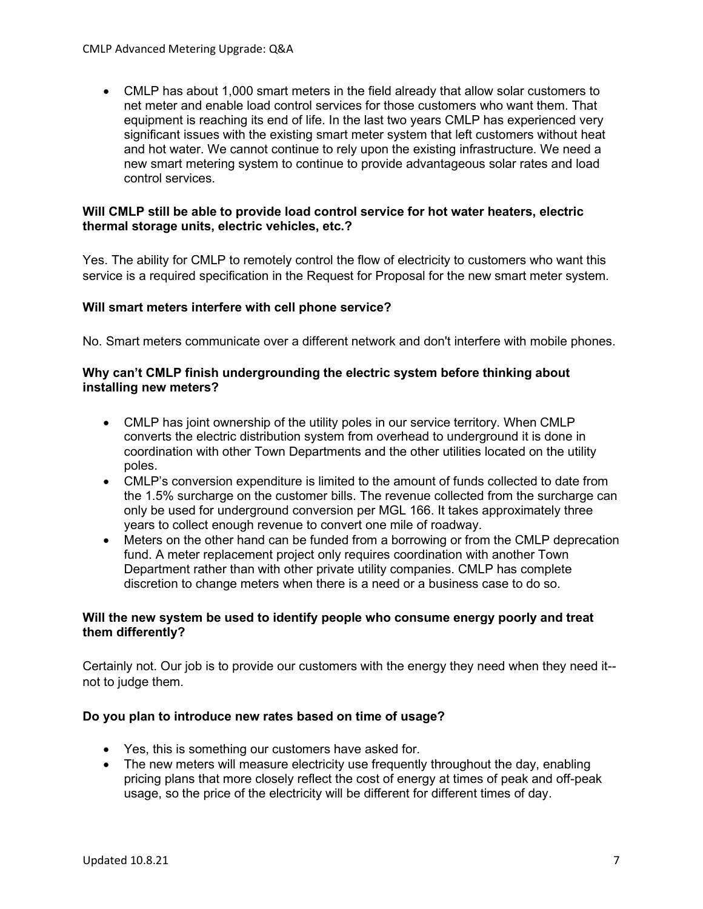• CMLP has about 1,000 smart meters in the field already that allow solar customers to net meter and enable load control services for those customers who want them. That equipment is reaching its end of life. In the last two years CMLP has experienced very significant issues with the existing smart meter system that left customers without heat and hot water. We cannot continue to rely upon the existing infrastructure. We need a new smart metering system to continue to provide advantageous solar rates and load control services.

## **Will CMLP still be able to provide load control service for hot water heaters, electric thermal storage units, electric vehicles, etc.?**

Yes. The ability for CMLP to remotely control the flow of electricity to customers who want this service is a required specification in the Request for Proposal for the new smart meter system.

## **Will smart meters interfere with cell phone service?**

No. Smart meters communicate over a different network and don't interfere with mobile phones.

#### **Why can't CMLP finish undergrounding the electric system before thinking about installing new meters?**

- CMLP has joint ownership of the utility poles in our service territory. When CMLP converts the electric distribution system from overhead to underground it is done in coordination with other Town Departments and the other utilities located on the utility poles.
- CMLP's conversion expenditure is limited to the amount of funds collected to date from the 1.5% surcharge on the customer bills. The revenue collected from the surcharge can only be used for underground conversion per MGL 166. It takes approximately three years to collect enough revenue to convert one mile of roadway.
- Meters on the other hand can be funded from a borrowing or from the CMLP deprecation fund. A meter replacement project only requires coordination with another Town Department rather than with other private utility companies. CMLP has complete discretion to change meters when there is a need or a business case to do so.

## **Will the new system be used to identify people who consume energy poorly and treat them differently?**

Certainly not. Our job is to provide our customers with the energy they need when they need it- not to judge them.

#### **Do you plan to introduce new rates based on time of usage?**

- Yes, this is something our customers have asked for.
- The new meters will measure electricity use frequently throughout the day, enabling pricing plans that more closely reflect the cost of energy at times of peak and off-peak usage, so the price of the electricity will be different for different times of day.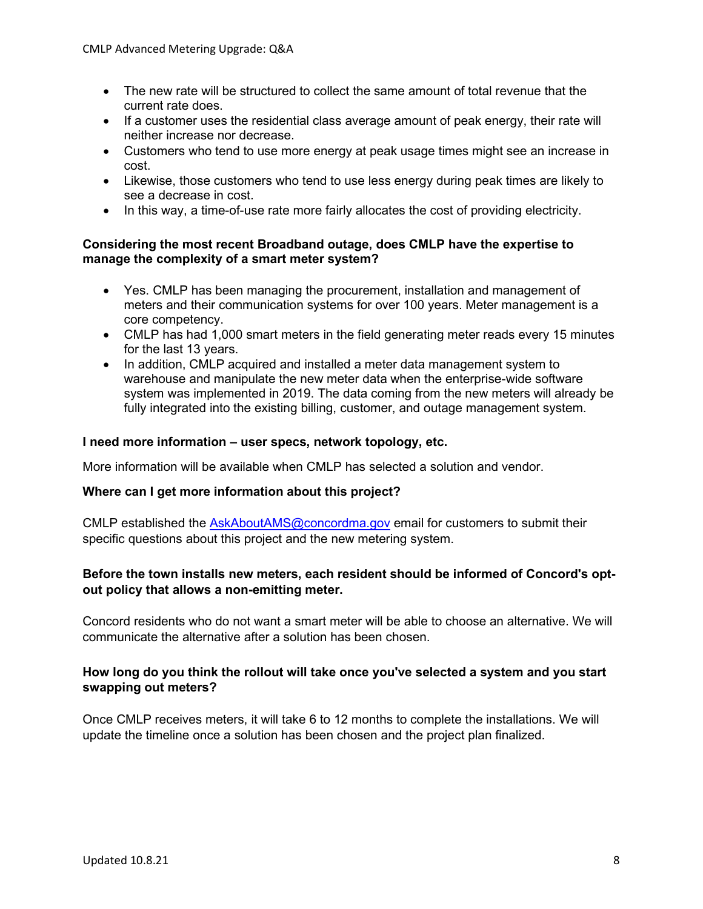- The new rate will be structured to collect the same amount of total revenue that the current rate does.
- If a customer uses the residential class average amount of peak energy, their rate will neither increase nor decrease.
- Customers who tend to use more energy at peak usage times might see an increase in cost.
- Likewise, those customers who tend to use less energy during peak times are likely to see a decrease in cost.
- In this way, a time-of-use rate more fairly allocates the cost of providing electricity.

# **Considering the most recent Broadband outage, does CMLP have the expertise to manage the complexity of a smart meter system?**

- Yes. CMLP has been managing the procurement, installation and management of meters and their communication systems for over 100 years. Meter management is a core competency.
- CMLP has had 1,000 smart meters in the field generating meter reads every 15 minutes for the last 13 years.
- In addition, CMLP acquired and installed a meter data management system to warehouse and manipulate the new meter data when the enterprise-wide software system was implemented in 2019. The data coming from the new meters will already be fully integrated into the existing billing, customer, and outage management system.

## **I need more information – user specs, network topology, etc.**

More information will be available when CMLP has selected a solution and vendor.

#### **Where can I get more information about this project?**

CMLP established the [AskAboutAMS@concordma.gov](mailto:AskAboutAMS@concordma.gov) email for customers to submit their specific questions about this project and the new metering system.

# **Before the town installs new meters, each resident should be informed of Concord's optout policy that allows a non-emitting meter.**

Concord residents who do not want a smart meter will be able to choose an alternative. We will communicate the alternative after a solution has been chosen.

# **How long do you think the rollout will take once you've selected a system and you start swapping out meters?**

Once CMLP receives meters, it will take 6 to 12 months to complete the installations. We will update the timeline once a solution has been chosen and the project plan finalized.